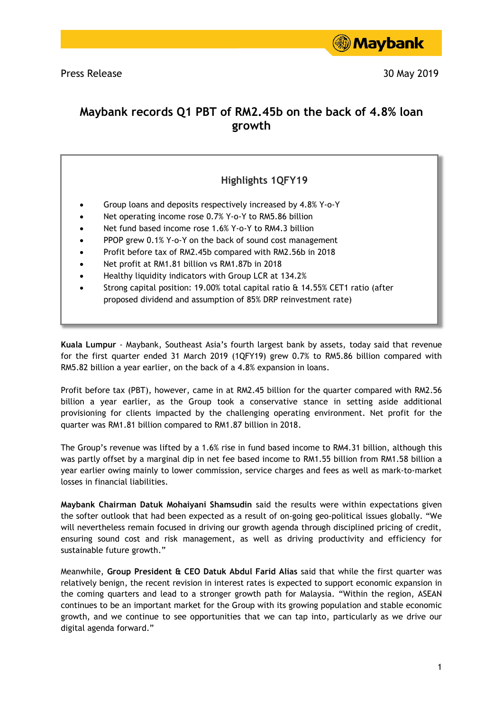

Press Release 30 May 2019

# **Maybank records Q1 PBT of RM2.45b on the back of 4.8% loan growth**

## **Highlights 1QFY19**

- Group loans and deposits respectively increased by 4.8% Y-o-Y
- Net operating income rose 0.7% Y-o-Y to RM5.86 billion
- Net fund based income rose 1.6% Y-o-Y to RM4.3 billion
- PPOP grew 0.1% Y-o-Y on the back of sound cost management
- Profit before tax of RM2.45b compared with RM2.56b in 2018
- Net profit at RM1.81 billion vs RM1.87b in 2018
- Healthy liquidity indicators with Group LCR at 134.2%
- Strong capital position: 19.00% total capital ratio & 14.55% CET1 ratio (after proposed dividend and assumption of 85% DRP reinvestment rate)

**Kuala Lumpur** - Maybank, Southeast Asia's fourth largest bank by assets, today said that revenue for the first quarter ended 31 March 2019 (1QFY19) grew 0.7% to RM5.86 billion compared with RM5.82 billion a year earlier, on the back of a 4.8% expansion in loans.

Profit before tax (PBT), however, came in at RM2.45 billion for the quarter compared with RM2.56 billion a year earlier, as the Group took a conservative stance in setting aside additional provisioning for clients impacted by the challenging operating environment. Net profit for the quarter was RM1.81 billion compared to RM1.87 billion in 2018.

The Group's revenue was lifted by a 1.6% rise in fund based income to RM4.31 billion, although this was partly offset by a marginal dip in net fee based income to RM1.55 billion from RM1.58 billion a year earlier owing mainly to lower commission, service charges and fees as well as mark-to-market losses in financial liabilities.

**Maybank Chairman Datuk Mohaiyani Shamsudin** said the results were within expectations given the softer outlook that had been expected as a result of on-going geo-political issues globally. "We will nevertheless remain focused in driving our growth agenda through disciplined pricing of credit, ensuring sound cost and risk management, as well as driving productivity and efficiency for sustainable future growth."

Meanwhile, **Group President & CEO Datuk Abdul Farid Alias** said that while the first quarter was relatively benign, the recent revision in interest rates is expected to support economic expansion in the coming quarters and lead to a stronger growth path for Malaysia. "Within the region, ASEAN continues to be an important market for the Group with its growing population and stable economic growth, and we continue to see opportunities that we can tap into, particularly as we drive our digital agenda forward."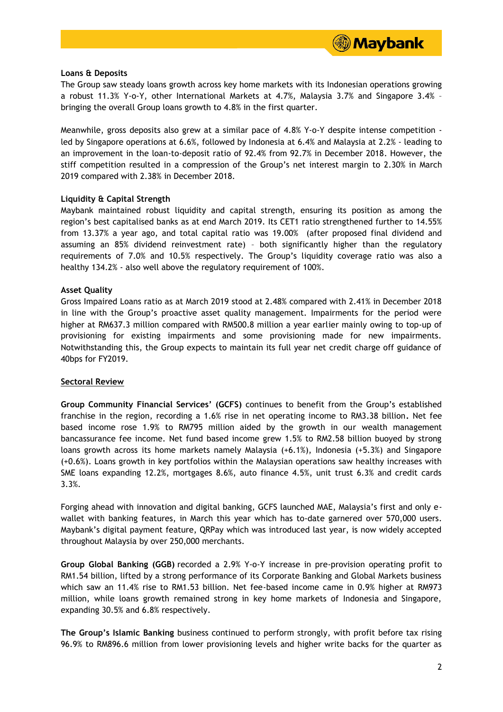

#### **Loans & Deposits**

The Group saw steady loans growth across key home markets with its Indonesian operations growing a robust 11.3% Y-o-Y, other International Markets at 4.7%, Malaysia 3.7% and Singapore 3.4% – bringing the overall Group loans growth to 4.8% in the first quarter.

Meanwhile, gross deposits also grew at a similar pace of 4.8% Y-o-Y despite intense competition led by Singapore operations at 6.6%, followed by Indonesia at 6.4% and Malaysia at 2.2% - leading to an improvement in the loan-to-deposit ratio of 92.4% from 92.7% in December 2018. However, the stiff competition resulted in a compression of the Group's net interest margin to 2.30% in March 2019 compared with 2.38% in December 2018.

### **Liquidity & Capital Strength**

Maybank maintained robust liquidity and capital strength, ensuring its position as among the region's best capitalised banks as at end March 2019. Its CET1 ratio strengthened further to 14.55% from 13.37% a year ago, and total capital ratio was 19.00% (after proposed final dividend and assuming an 85% dividend reinvestment rate) – both significantly higher than the regulatory requirements of 7.0% and 10.5% respectively. The Group's liquidity coverage ratio was also a healthy 134.2% - also well above the regulatory requirement of 100%.

### **Asset Quality**

Gross Impaired Loans ratio as at March 2019 stood at 2.48% compared with 2.41% in December 2018 in line with the Group's proactive asset quality management. Impairments for the period were higher at RM637.3 million compared with RM500.8 million a year earlier mainly owing to top-up of provisioning for existing impairments and some provisioning made for new impairments. Notwithstanding this, the Group expects to maintain its full year net credit charge off guidance of 40bps for FY2019.

#### **Sectoral Review**

**Group Community Financial Services' (GCFS)** continues to benefit from the Group's established franchise in the region, recording a 1.6% rise in net operating income to RM3.38 billion**.** Net fee based income rose 1.9% to RM795 million aided by the growth in our wealth management bancassurance fee income. Net fund based income grew 1.5% to RM2.58 billion buoyed by strong loans growth across its home markets namely Malaysia (+6.1%), Indonesia (+5.3%) and Singapore (+0.6%). Loans growth in key portfolios within the Malaysian operations saw healthy increases with SME loans expanding 12.2%, mortgages 8.6%, auto finance 4.5%, unit trust 6.3% and credit cards 3.3%.

Forging ahead with innovation and digital banking, GCFS launched MAE, Malaysia's first and only ewallet with banking features, in March this year which has to-date garnered over 570,000 users. Maybank's digital payment feature, QRPay which was introduced last year, is now widely accepted throughout Malaysia by over 250,000 merchants.

**Group Global Banking (GGB)** recorded a 2.9% Y-o-Y increase in pre-provision operating profit to RM1.54 billion, lifted by a strong performance of its Corporate Banking and Global Markets business which saw an 11.4% rise to RM1.53 billion. Net fee-based income came in 0.9% higher at RM973 million, while loans growth remained strong in key home markets of Indonesia and Singapore, expanding 30.5% and 6.8% respectively.

**The Group's Islamic Banking** business continued to perform strongly, with profit before tax rising 96.9% to RM896.6 million from lower provisioning levels and higher write backs for the quarter as